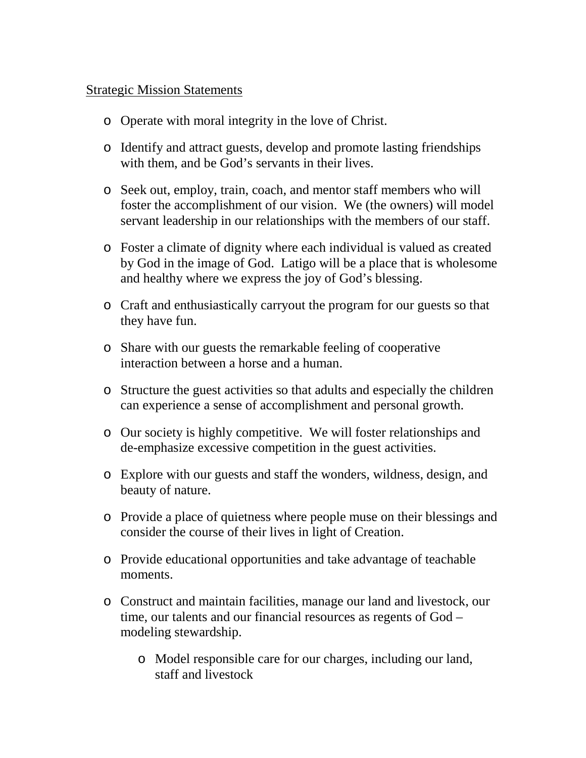## Strategic Mission Statements

- o Operate with moral integrity in the love of Christ.
- o Identify and attract guests, develop and promote lasting friendships with them, and be God's servants in their lives.
- o Seek out, employ, train, coach, and mentor staff members who will foster the accomplishment of our vision. We (the owners) will model servant leadership in our relationships with the members of our staff.
- o Foster a climate of dignity where each individual is valued as created by God in the image of God. Latigo will be a place that is wholesome and healthy where we express the joy of God's blessing.
- o Craft and enthusiastically carryout the program for our guests so that they have fun.
- o Share with our guests the remarkable feeling of cooperative interaction between a horse and a human.
- o Structure the guest activities so that adults and especially the children can experience a sense of accomplishment and personal growth.
- o Our society is highly competitive. We will foster relationships and de-emphasize excessive competition in the guest activities.
- o Explore with our guests and staff the wonders, wildness, design, and beauty of nature.
- o Provide a place of quietness where people muse on their blessings and consider the course of their lives in light of Creation.
- o Provide educational opportunities and take advantage of teachable moments.
- o Construct and maintain facilities, manage our land and livestock, our time, our talents and our financial resources as regents of God – modeling stewardship.
	- o Model responsible care for our charges, including our land, staff and livestock